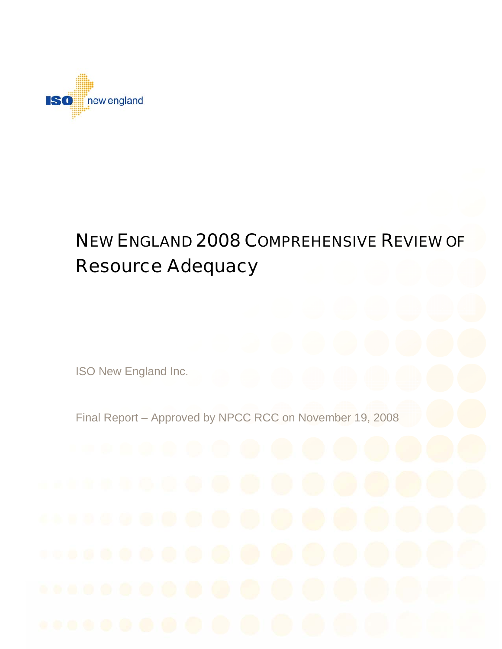

# NEW ENGLAND 2008 COMPREHENSIVE REVIEW OF Resource Adequacy

ISO New England Inc.

Final Report – Approved by NPCC RCC on November 19, 2008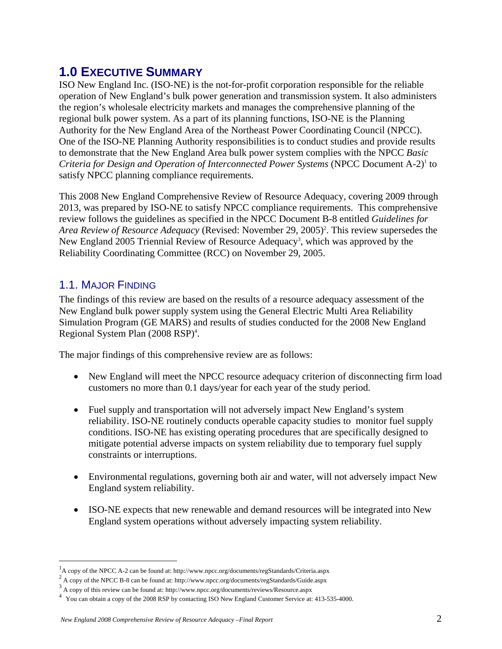# **1.0 EXECUTIVE SUMMARY**

ISO New England Inc. (ISO-NE) is the not-for-profit corporation responsible for the reliable operation of New England's bulk power generation and transmission system. It also administers the region's wholesale electricity markets and manages the comprehensive planning of the regional bulk power system. As a part of its planning functions, ISO-NE is the Planning Authority for the New England Area of the Northeast Power Coordinating Council (NPCC). One of the ISO-NE Planning Authority responsibilities is to conduct studies and provide results to demonstrate that the New England Area bulk power system complies with the NPCC *Basic*  Criteria for Design and Operation of Interconnected Power Systems (NPCC Document A-2)<sup>1</sup> to satisfy NPCC planning compliance requirements.

This 2008 New England Comprehensive Review of Resource Adequacy, covering 2009 through 2013, was prepared by ISO-NE to satisfy NPCC compliance requirements. This comprehensive review follows the guidelines as specified in the NPCC Document B-8 entitled *Guidelines for*  Area Review of Resource Adequacy (Revised: November 29, 2005)<sup>2</sup>. This review supersedes the New England 2005 Triennial Review of Resource Adequacy<sup>3</sup>, which was approved by the Reliability Coordinating Committee (RCC) on November 29, 2005.

### 1.1. MAJOR FINDING

 $\overline{a}$ 

The findings of this review are based on the results of a resource adequacy assessment of the New England bulk power supply system using the General Electric Multi Area Reliability Simulation Program (GE MARS) and results of studies conducted for the 2008 New England Regional System Plan (2008 RSP)<sup>4</sup>.

The major findings of this comprehensive review are as follows:

- New England will meet the NPCC resource adequacy criterion of disconnecting firm load customers no more than 0.1 days/year for each year of the study period.
- Fuel supply and transportation will not adversely impact New England's system reliability. ISO-NE routinely conducts operable capacity studies to monitor fuel supply conditions. ISO-NE has existing operating procedures that are specifically designed to mitigate potential adverse impacts on system reliability due to temporary fuel supply constraints or interruptions.
- Environmental regulations, governing both air and water, will not adversely impact New England system reliability.
- ISO-NE expects that new renewable and demand resources will be integrated into New England system operations without adversely impacting system reliability.

A copy of the NPCC A-2 can be found at: http://www.npcc.org/documents/regStandards/Criteria.aspx A copy of the NPCC A-2 can be found at: http://www.npcc.org/documents/regStandards/Criteria.aspx  $\frac{2}{3}$  A copy of the NPCC B  $\theta$  can be found at http://www.npcc.org/documents/regStandards/Criteria.aspx

A copy of the NPCC B-8 can be found at: http://www.npcc.org/documents/regStandards/Guide.aspx  $\frac{3}{3}$  A convert like survey fitting was provided to the like survey fitting (from more contribution of the convert like sur

 $\frac{3}{4}$  A copy of this review can be found at: http://www.npcc.org/documents/reviews/Resource.aspx  $\frac{4}{4}$  You can obtain a copy of the 2008 RSP by contacting ISO New England Customer Service at: 413-535-4000.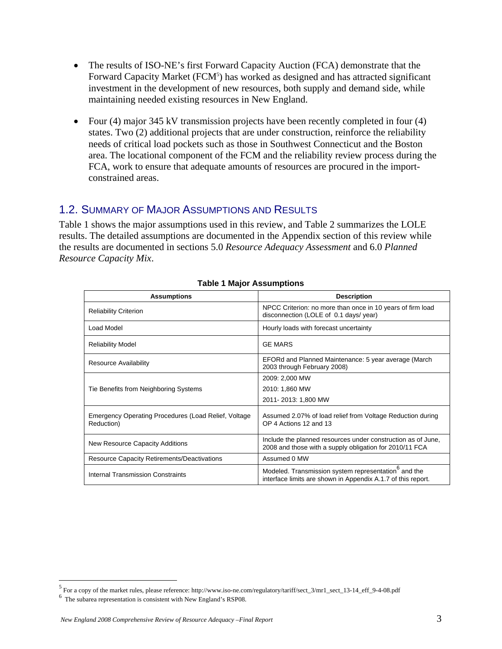- The results of ISO-NE's first Forward Capacity Auction (FCA) demonstrate that the Forward Capacity Market (FCM<sup>5</sup>) has worked as designed and has attracted significant investment in the development of new resources, both supply and demand side, while maintaining needed existing resources in New England.
- Four (4) major 345 kV transmission projects have been recently completed in four (4) states. Two (2) additional projects that are under construction, reinforce the reliability needs of critical load pockets such as those in Southwest Connecticut and the Boston area. The locational component of the FCM and the reliability review process during the FCA, work to ensure that adequate amounts of resources are procured in the importconstrained areas.

#### 1.2. SUMMARY OF MAJOR ASSUMPTIONS AND RESULTS

Table 1 shows the major assumptions used in this review, and Table 2 summarizes the LOLE results. The detailed assumptions are documented in the Appendix section of this review while the results are documented in sections 5.0 *Resource Adequacy Assessment* and 6.0 *Planned Resource Capacity Mix*.

| <b>Assumptions</b>                                                 | <b>Description</b>                                                                                                               |
|--------------------------------------------------------------------|----------------------------------------------------------------------------------------------------------------------------------|
| <b>Reliability Criterion</b>                                       | NPCC Criterion: no more than once in 10 years of firm load<br>disconnection (LOLE of 0.1 days/year)                              |
| Load Model                                                         | Hourly loads with forecast uncertainty                                                                                           |
| <b>Reliability Model</b>                                           | <b>GE MARS</b>                                                                                                                   |
| Resource Availability                                              | EFORd and Planned Maintenance: 5 year average (March<br>2003 through February 2008)                                              |
|                                                                    | 2009: 2,000 MW                                                                                                                   |
| Tie Benefits from Neighboring Systems                              | 2010: 1,860 MW                                                                                                                   |
|                                                                    | 2011-2013: 1,800 MW                                                                                                              |
| Emergency Operating Procedures (Load Relief, Voltage<br>Reduction) | Assumed 2.07% of load relief from Voltage Reduction during<br>OP 4 Actions 12 and 13                                             |
| New Resource Capacity Additions                                    | Include the planned resources under construction as of June,<br>2008 and those with a supply obligation for 2010/11 FCA          |
| <b>Resource Capacity Retirements/Deactivations</b>                 | Assumed 0 MW                                                                                                                     |
| Internal Transmission Constraints                                  | Modeled. Transmission system representation <sup>6</sup> and the<br>interface limits are shown in Appendix A.1.7 of this report. |

#### **Table 1 Major Assumptions**

<sup>&</sup>lt;sup>5</sup> For a copy of the market rules, please reference: http://www.iso-ne.com/regulatory/tariff/sect\_3/mr1\_sect\_13-14\_eff\_9-4-08.pdf

<sup>&</sup>lt;sup>6</sup> The subarea representation is consistent with New England's RSP08.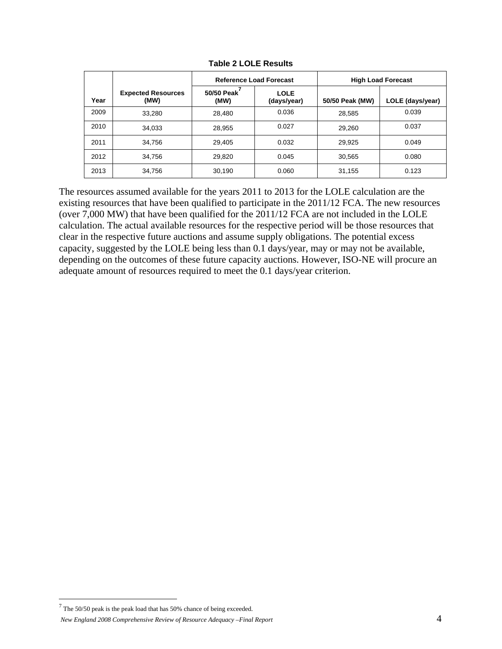|      |                                   | <b>Reference Load Forecast</b> |                     | <b>High Load Forecast</b> |                  |
|------|-----------------------------------|--------------------------------|---------------------|---------------------------|------------------|
| Year | <b>Expected Resources</b><br>(MW) | 50/50 Peak<br>(MW)             | LOLE<br>(days/year) | 50/50 Peak (MW)           | LOLE (days/year) |
| 2009 | 33.280                            | 28.480                         | 0.036               | 28,585                    | 0.039            |
| 2010 | 34,033                            | 28,955                         | 0.027               | 29,260                    | 0.037            |
| 2011 | 34,756                            | 29,405                         | 0.032               | 29,925                    | 0.049            |
| 2012 | 34.756                            | 29,820                         | 0.045               | 30,565                    | 0.080            |
| 2013 | 34,756                            | 30,190                         | 0.060               | 31,155                    | 0.123            |

**Table 2 LOLE Results** 

The resources assumed available for the years 2011 to 2013 for the LOLE calculation are the existing resources that have been qualified to participate in the 2011/12 FCA. The new resources (over 7,000 MW) that have been qualified for the 2011/12 FCA are not included in the LOLE calculation. The actual available resources for the respective period will be those resources that clear in the respective future auctions and assume supply obligations. The potential excess capacity, suggested by the LOLE being less than 0.1 days/year, may or may not be available, depending on the outcomes of these future capacity auctions. However, ISO-NE will procure an adequate amount of resources required to meet the 0.1 days/year criterion.

 $7$  The 50/50 peak is the peak load that has 50% chance of being exceeded.

*New England 2008 Comprehensive Review of Resource Adequacy –Final Report*  $4$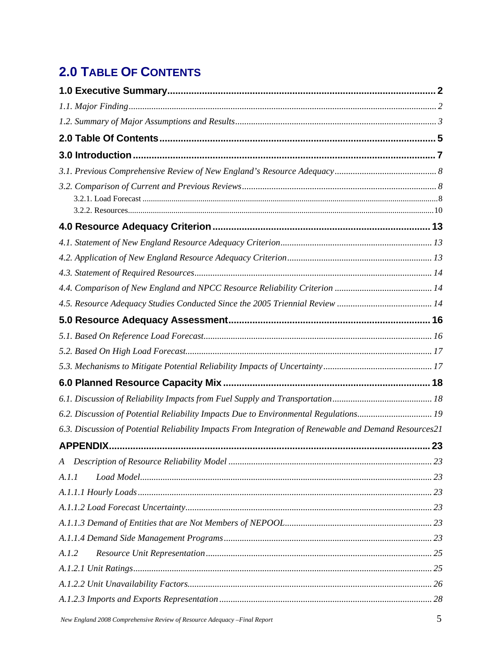# **2.0 TABLE OF CONTENTS**

| 6.2. Discussion of Potential Reliability Impacts Due to Environmental Regulations19                   |    |
|-------------------------------------------------------------------------------------------------------|----|
| 6.3. Discussion of Potential Reliability Impacts From Integration of Renewable and Demand Resources21 |    |
| <b>APPENDIX.</b>                                                                                      | 23 |
|                                                                                                       |    |
| A.I.I                                                                                                 |    |
|                                                                                                       |    |
|                                                                                                       |    |
|                                                                                                       |    |
|                                                                                                       |    |
| A.1.2                                                                                                 |    |
|                                                                                                       |    |
|                                                                                                       |    |
|                                                                                                       |    |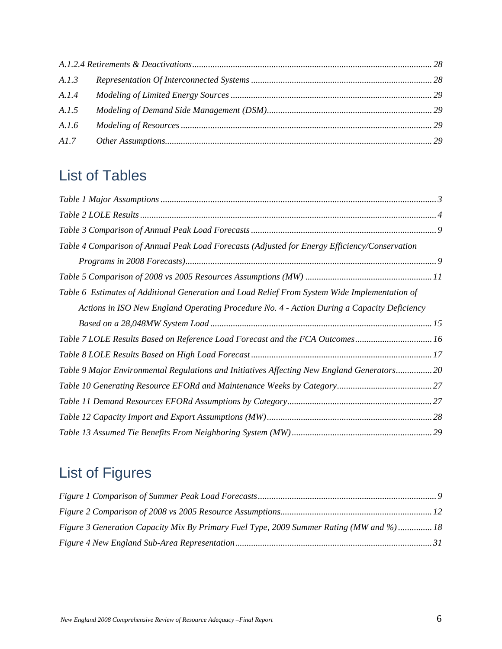| A.I.4 |  |
|-------|--|
| A.1.5 |  |
| A.I.6 |  |
|       |  |

# List of Tables

| Table 4 Comparison of Annual Peak Load Forecasts (Adjusted for Energy Efficiency/Conservation |  |
|-----------------------------------------------------------------------------------------------|--|
|                                                                                               |  |
|                                                                                               |  |
| Table 6 Estimates of Additional Generation and Load Relief From System Wide Implementation of |  |
| Actions in ISO New England Operating Procedure No. 4 - Action During a Capacity Deficiency    |  |
|                                                                                               |  |
| Table 7 LOLE Results Based on Reference Load Forecast and the FCA Outcomes16                  |  |
|                                                                                               |  |
| Table 9 Major Environmental Regulations and Initiatives Affecting New England Generators 20   |  |
|                                                                                               |  |
|                                                                                               |  |
|                                                                                               |  |
|                                                                                               |  |

# List of Figures

| Figure 3 Generation Capacity Mix By Primary Fuel Type, 2009 Summer Rating (MW and %) 18 |  |
|-----------------------------------------------------------------------------------------|--|
|                                                                                         |  |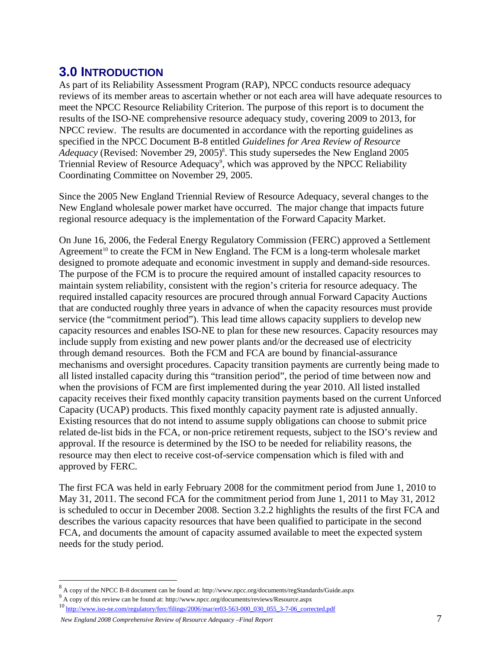# **3.0 INTRODUCTION**

As part of its Reliability Assessment Program (RAP), NPCC conducts resource adequacy reviews of its member areas to ascertain whether or not each area will have adequate resources to meet the NPCC Resource Reliability Criterion. The purpose of this report is to document the results of the ISO-NE comprehensive resource adequacy study, covering 2009 to 2013, for NPCC review. The results are documented in accordance with the reporting guidelines as specified in the NPCC Document B-8 entitled *Guidelines for Area Review of Resource*  Adequacy (Revised: November 29, 2005)<sup>8</sup>. This study supersedes the New England 2005 Triennial Review of Resource Adequacy<sup>9</sup>, which was approved by the NPCC Reliability Coordinating Committee on November 29, 2005.

Since the 2005 New England Triennial Review of Resource Adequacy, several changes to the New England wholesale power market have occurred. The major change that impacts future regional resource adequacy is the implementation of the Forward Capacity Market.

On June 16, 2006, the Federal Energy Regulatory Commission (FERC) approved a Settlement Agreement<sup>10</sup> to create the FCM in New England. The FCM is a long-term wholesale market designed to promote adequate and economic investment in supply and demand-side resources. The purpose of the FCM is to procure the required amount of installed capacity resources to maintain system reliability, consistent with the region's criteria for resource adequacy. The required installed capacity resources are procured through annual Forward Capacity Auctions that are conducted roughly three years in advance of when the capacity resources must provide service (the "commitment period"). This lead time allows capacity suppliers to develop new capacity resources and enables ISO-NE to plan for these new resources. Capacity resources may include supply from existing and new power plants and/or the decreased use of electricity through demand resources. Both the FCM and FCA are bound by financial-assurance mechanisms and oversight procedures. Capacity transition payments are currently being made to all listed installed capacity during this "transition period", the period of time between now and when the provisions of FCM are first implemented during the year 2010. All listed installed capacity receives their fixed monthly capacity transition payments based on the current Unforced Capacity (UCAP) products. This fixed monthly capacity payment rate is adjusted annually. Existing resources that do not intend to assume supply obligations can choose to submit price related de-list bids in the FCA, or non-price retirement requests, subject to the ISO's review and approval. If the resource is determined by the ISO to be needed for reliability reasons, the resource may then elect to receive cost-of-service compensation which is filed with and approved by FERC.

The first FCA was held in early February 2008 for the commitment period from June 1, 2010 to May 31, 2011. The second FCA for the commitment period from June 1, 2011 to May 31, 2012 is scheduled to occur in December 2008. Section 3.2.2 highlights the results of the first FCA and describes the various capacity resources that have been qualified to participate in the second FCA, and documents the amount of capacity assumed available to meet the expected system needs for the study period.

<u>.</u>

 $8$  A copy of the NPCC B-8 document can be found at: http://www.npcc.org/documents/regStandards/Guide.aspx  $9$  A compact the principle scale of the principle scale of the principle scale of the principle scale of the prin

<sup>&</sup>lt;sup>9</sup> A copy of this review can be found at: http://www.npcc.org/documents/reviews/Resource.aspx <sup>10</sup> http://www.iso-ne.com/regulatory/ferc/fil<u>ings/2006/mar/er03-563-000\_030\_055\_3-7-06\_corrected.pdf</u>

*New England 2008 Comprehensive Review of Resource Adequacy –Final Report Particular 1008 Comprehensive Review of Resource Adequacy –Final Report* **<b>***Particular 1008 Comprehensive Review of Resource Adequacy –Final Repor*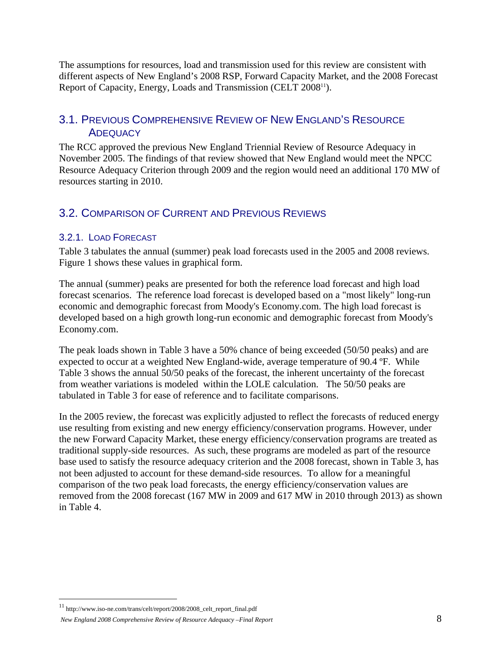The assumptions for resources, load and transmission used for this review are consistent with different aspects of New England's 2008 RSP, Forward Capacity Market, and the 2008 Forecast Report of Capacity, Energy, Loads and Transmission (CELT 200811).

#### 3.1. PREVIOUS COMPREHENSIVE REVIEW OF NEW ENGLAND'S RESOURCE **ADEQUACY**

The RCC approved the previous New England Triennial Review of Resource Adequacy in November 2005. The findings of that review showed that New England would meet the NPCC Resource Adequacy Criterion through 2009 and the region would need an additional 170 MW of resources starting in 2010.

## 3.2. COMPARISON OF CURRENT AND PREVIOUS REVIEWS

#### 3.2.1. LOAD FORECAST

Table 3 tabulates the annual (summer) peak load forecasts used in the 2005 and 2008 reviews. Figure 1 shows these values in graphical form.

The annual (summer) peaks are presented for both the reference load forecast and high load forecast scenarios. The reference load forecast is developed based on a "most likely" long-run economic and demographic forecast from Moody's Economy.com. The high load forecast is developed based on a high growth long-run economic and demographic forecast from Moody's Economy.com.

The peak loads shown in Table 3 have a 50% chance of being exceeded (50/50 peaks) and are expected to occur at a weighted New England-wide, average temperature of 90.4 ºF. While Table 3 shows the annual 50/50 peaks of the forecast, the inherent uncertainty of the forecast from weather variations is modeled within the LOLE calculation. The 50/50 peaks are tabulated in Table 3 for ease of reference and to facilitate comparisons.

In the 2005 review, the forecast was explicitly adjusted to reflect the forecasts of reduced energy use resulting from existing and new energy efficiency/conservation programs. However, under the new Forward Capacity Market, these energy efficiency/conservation programs are treated as traditional supply-side resources. As such, these programs are modeled as part of the resource base used to satisfy the resource adequacy criterion and the 2008 forecast, shown in Table 3, has not been adjusted to account for these demand-side resources. To allow for a meaningful comparison of the two peak load forecasts, the energy efficiency/conservation values are removed from the 2008 forecast (167 MW in 2009 and 617 MW in 2010 through 2013) as shown in Table 4.

<sup>11</sup> http://www.iso-ne.com/trans/celt/report/2008/2008\_celt\_report\_final.pdf

*New England 2008 Comprehensive Review of Resource Adequacy –Final Report* 8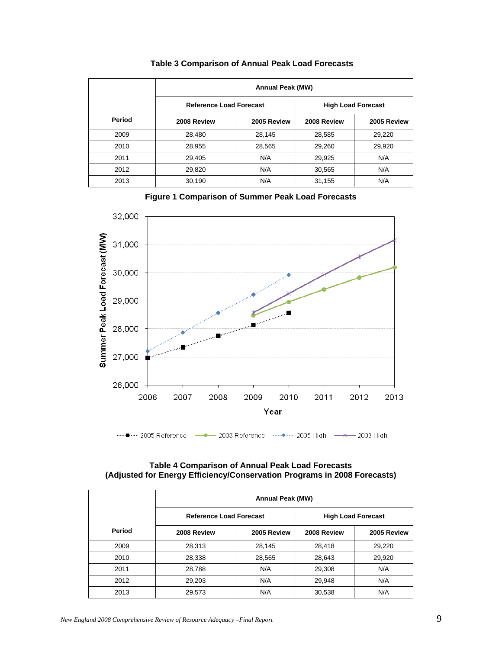|        | <b>Annual Peak (MW)</b>        |             |             |                           |  |
|--------|--------------------------------|-------------|-------------|---------------------------|--|
|        | <b>Reference Load Forecast</b> |             |             | <b>High Load Forecast</b> |  |
| Period | 2008 Review                    | 2005 Review | 2008 Review | 2005 Review               |  |
| 2009   | 28,480                         | 28,145      | 28,585      | 29,220                    |  |
| 2010   | 28,955                         | 28,565      | 29,260      | 29,920                    |  |
| 2011   | 29.405                         | N/A         | 29,925      | N/A                       |  |
| 2012   | 29,820                         | N/A         | 30,565      | N/A                       |  |
| 2013   | 30,190                         | N/A         | 31,155      | N/A                       |  |

#### **Table 3 Comparison of Annual Peak Load Forecasts**





#### **Table 4 Comparison of Annual Peak Load Forecasts (Adjusted for Energy Efficiency/Conservation Programs in 2008 Forecasts)**

|        | <b>Annual Peak (MW)</b>        |             |             |                           |  |
|--------|--------------------------------|-------------|-------------|---------------------------|--|
|        | <b>Reference Load Forecast</b> |             |             | <b>High Load Forecast</b> |  |
| Period | 2008 Review                    | 2005 Review | 2008 Review | 2005 Review               |  |
| 2009   | 28,313                         | 28,145      | 28,418      | 29,220                    |  |
| 2010   | 28,338                         | 28,565      | 28,643      | 29,920                    |  |
| 2011   | 28,788                         | N/A         | 29,308      | N/A                       |  |
| 2012   | 29,203                         | N/A         | 29,948      | N/A                       |  |
| 2013   | 29,573                         | N/A         | 30,538      | N/A                       |  |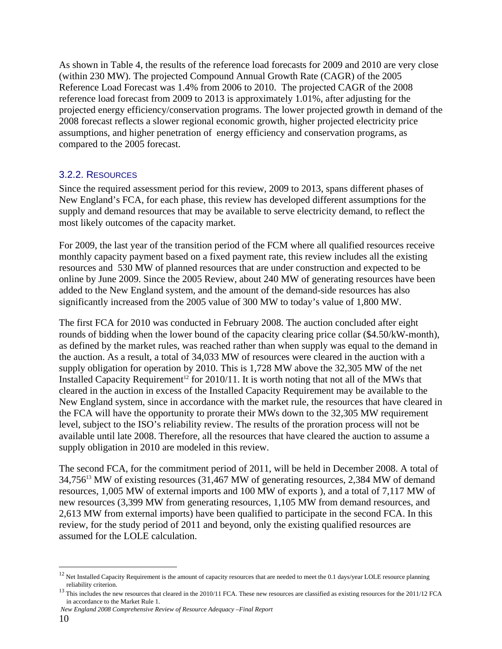As shown in Table 4, the results of the reference load forecasts for 2009 and 2010 are very close (within 230 MW). The projected Compound Annual Growth Rate (CAGR) of the 2005 Reference Load Forecast was 1.4% from 2006 to 2010. The projected CAGR of the 2008 reference load forecast from 2009 to 2013 is approximately 1.01%, after adjusting for the projected energy efficiency/conservation programs. The lower projected growth in demand of the 2008 forecast reflects a slower regional economic growth, higher projected electricity price assumptions, and higher penetration of energy efficiency and conservation programs, as compared to the 2005 forecast.

#### 3.2.2. RESOURCES

Since the required assessment period for this review, 2009 to 2013, spans different phases of New England's FCA, for each phase, this review has developed different assumptions for the supply and demand resources that may be available to serve electricity demand, to reflect the most likely outcomes of the capacity market.

For 2009, the last year of the transition period of the FCM where all qualified resources receive monthly capacity payment based on a fixed payment rate, this review includes all the existing resources and 530 MW of planned resources that are under construction and expected to be online by June 2009. Since the 2005 Review, about 240 MW of generating resources have been added to the New England system, and the amount of the demand-side resources has also significantly increased from the 2005 value of 300 MW to today's value of 1,800 MW.

The first FCA for 2010 was conducted in February 2008. The auction concluded after eight rounds of bidding when the lower bound of the capacity clearing price collar (\$4.50/kW-month), as defined by the market rules, was reached rather than when supply was equal to the demand in the auction. As a result, a total of 34,033 MW of resources were cleared in the auction with a supply obligation for operation by 2010. This is 1,728 MW above the 32,305 MW of the net Installed Capacity Requirement<sup>12</sup> for 2010/11. It is worth noting that not all of the MWs that cleared in the auction in excess of the Installed Capacity Requirement may be available to the New England system, since in accordance with the market rule, the resources that have cleared in the FCA will have the opportunity to prorate their MWs down to the 32,305 MW requirement level, subject to the ISO's reliability review. The results of the proration process will not be available until late 2008. Therefore, all the resources that have cleared the auction to assume a supply obligation in 2010 are modeled in this review.

The second FCA, for the commitment period of 2011, will be held in December 2008. A total of 34,75613 MW of existing resources (31,467 MW of generating resources, 2,384 MW of demand resources, 1,005 MW of external imports and 100 MW of exports ), and a total of 7,117 MW of new resources (3,399 MW from generating resources, 1,105 MW from demand resources, and 2,613 MW from external imports) have been qualified to participate in the second FCA. In this review, for the study period of 2011 and beyond, only the existing qualified resources are assumed for the LOLE calculation.

 *New England 2008 Comprehensive Review of Resource Adequacy –Final Report* 

 $12$  Net Installed Capacity Requirement is the amount of capacity resources that are needed to meet the 0.1 days/year LOLE resource planning

reliability criterion.<br><sup>13</sup> This includes the new resources that cleared in the 2010/11 FCA. These new resources are classified as existing resources for the 2011/12 FCA in accordance to the Market Rule 1.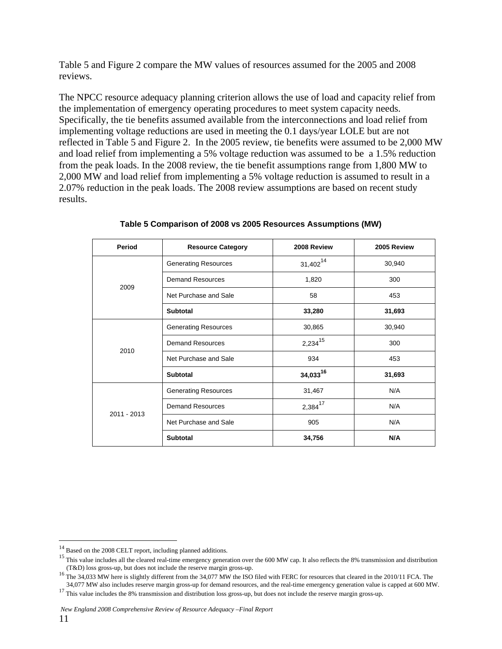Table 5 and Figure 2 compare the MW values of resources assumed for the 2005 and 2008 reviews.

The NPCC resource adequacy planning criterion allows the use of load and capacity relief from the implementation of emergency operating procedures to meet system capacity needs. Specifically, the tie benefits assumed available from the interconnections and load relief from implementing voltage reductions are used in meeting the 0.1 days/year LOLE but are not reflected in Table 5 and Figure 2. In the 2005 review, tie benefits were assumed to be 2,000 MW and load relief from implementing a 5% voltage reduction was assumed to be a 1.5% reduction from the peak loads. In the 2008 review, the tie benefit assumptions range from 1,800 MW to 2,000 MW and load relief from implementing a 5% voltage reduction is assumed to result in a 2.07% reduction in the peak loads. The 2008 review assumptions are based on recent study results.

| Period      | <b>Resource Category</b>                | 2008 Review         | 2005 Review |
|-------------|-----------------------------------------|---------------------|-------------|
|             | <b>Generating Resources</b>             | $31,402^{14}$       | 30,940      |
| 2009        | <b>Demand Resources</b>                 | 1,820               | 300         |
|             | Net Purchase and Sale                   | 58                  | 453         |
|             | <b>Subtotal</b>                         | 33,280              | 31,693      |
|             | <b>Generating Resources</b>             | 30,865              | 30,940      |
| 2010        | $2,234^{15}$<br><b>Demand Resources</b> |                     | 300         |
|             | Net Purchase and Sale                   | 934                 | 453         |
|             | <b>Subtotal</b>                         | $34,033^{16}$       | 31,693      |
|             | <b>Generating Resources</b>             | 31,467              | N/A         |
| 2011 - 2013 | <b>Demand Resources</b>                 | 2,384 <sup>17</sup> | N/A         |
|             | Net Purchase and Sale                   | 905                 | N/A         |
|             | <b>Subtotal</b>                         | 34,756              | N/A         |

**Table 5 Comparison of 2008 vs 2005 Resources Assumptions (MW)** 

 $^{14}$  Based on the 2008 CELT report, including planned additions.

<sup>&</sup>lt;sup>15</sup> This value includes all the cleared real-time emergency generation over the 600 MW cap. It also reflects the 8% transmission and distribution (T&D) loss gross-up, but does not include the reserve margin gross-up.

<sup>&</sup>lt;sup>16</sup> The 34,033 MW here is slightly different from the 34,077 MW the ISO filed with FERC for resources that cleared in the 2010/11 FCA. The 34,077 MW also includes reserve margin gross-up for demand resources, and the rea

 $17$  This value includes the 8% transmission and distribution loss gross-up, but does not include the reserve margin gross-up.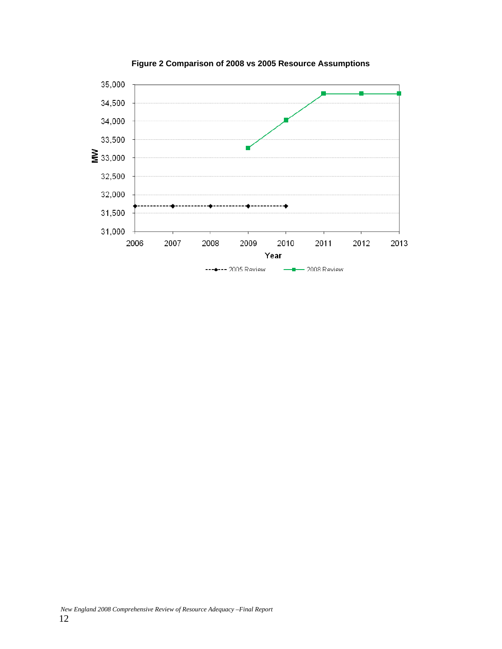

**Figure 2 Comparison of 2008 vs 2005 Resource Assumptions**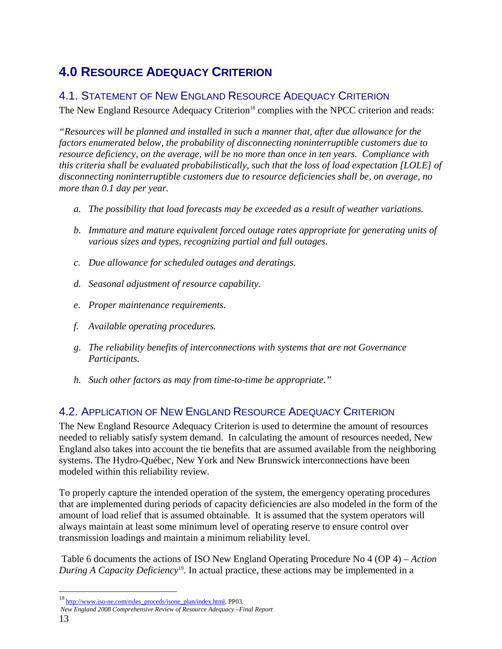# **4.0 RESOURCE ADEQUACY CRITERION**

### 4.1. STATEMENT OF NEW ENGLAND RESOURCE ADEQUACY CRITERION

The New England Resource Adequacy Criterion<sup>18</sup> complies with the NPCC criterion and reads:

*"Resources will be planned and installed in such a manner that, after due allowance for the factors enumerated below, the probability of disconnecting noninterruptible customers due to resource deficiency, on the average, will be no more than once in ten years. Compliance with this criteria shall be evaluated probabilistically, such that the loss of load expectation [LOLE] of disconnecting noninterruptible customers due to resource deficiencies shall be, on average, no more than 0.1 day per year.* 

- *a. The possibility that load forecasts may be exceeded as a result of weather variations.*
- *b. Immature and mature equivalent forced outage rates appropriate for generating units of various sizes and types, recognizing partial and full outages.*
- *c. Due allowance for scheduled outages and deratings.*
- *d. Seasonal adjustment of resource capability.*
- *e. Proper maintenance requirements.*
- *f. Available operating procedures.*
- *g. The reliability benefits of interconnections with systems that are not Governance Participants.*
- *h. Such other factors as may from time-to-time be appropriate."*

## 4.2. APPLICATION OF NEW ENGLAND RESOURCE ADEQUACY CRITERION

The New England Resource Adequacy Criterion is used to determine the amount of resources needed to reliably satisfy system demand. In calculating the amount of resources needed, New England also takes into account the tie benefits that are assumed available from the neighboring systems. The Hydro-Québec, New York and New Brunswick interconnections have been modeled within this reliability review.

To properly capture the intended operation of the system, the emergency operating procedures that are implemented during periods of capacity deficiencies are also modeled in the form of the amount of load relief that is assumed obtainable. It is assumed that the system operators will always maintain at least some minimum level of operating reserve to ensure control over transmission loadings and maintain a minimum reliability level.

 Table 6 documents the actions of ISO New England Operating Procedure No 4 (OP 4) – *Action During A Capacity Deficiency*19. In actual practice, these actions may be implemented in a

<sup>18</sup> http://www.iso-ne.com/rules\_proceds/isone\_plan/index.html, PP03.

*New England 2008 Comprehensive Review of Resource Adequacy –Final Report*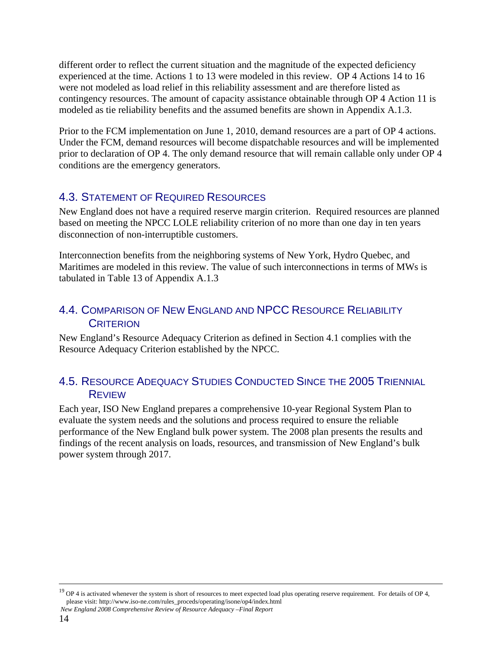different order to reflect the current situation and the magnitude of the expected deficiency experienced at the time. Actions 1 to 13 were modeled in this review. OP 4 Actions 14 to 16 were not modeled as load relief in this reliability assessment and are therefore listed as contingency resources. The amount of capacity assistance obtainable through OP 4 Action 11 is modeled as tie reliability benefits and the assumed benefits are shown in Appendix A.1.3.

Prior to the FCM implementation on June 1, 2010, demand resources are a part of OP 4 actions. Under the FCM, demand resources will become dispatchable resources and will be implemented prior to declaration of OP 4. The only demand resource that will remain callable only under OP 4 conditions are the emergency generators.

## 4.3. STATEMENT OF REQUIRED RESOURCES

New England does not have a required reserve margin criterion. Required resources are planned based on meeting the NPCC LOLE reliability criterion of no more than one day in ten years disconnection of non-interruptible customers.

Interconnection benefits from the neighboring systems of New York, Hydro Quebec, and Maritimes are modeled in this review. The value of such interconnections in terms of MWs is tabulated in Table 13 of Appendix A.1.3

### 4.4. COMPARISON OF NEW ENGLAND AND NPCC RESOURCE RELIABILITY **CRITERION**

New England's Resource Adequacy Criterion as defined in Section 4.1 complies with the Resource Adequacy Criterion established by the NPCC.

#### 4.5. RESOURCE ADEQUACY STUDIES CONDUCTED SINCE THE 2005 TRIENNIAL REVIEW

Each year, ISO New England prepares a comprehensive 10-year Regional System Plan to evaluate the system needs and the solutions and process required to ensure the reliable performance of the New England bulk power system. The 2008 plan presents the results and findings of the recent analysis on loads, resources, and transmission of New England's bulk power system through 2017.

<sup>&</sup>lt;sup>19</sup> OP 4 is activated whenever the system is short of resources to meet expected load plus operating reserve requirement. For details of OP 4, please visit: http://www.iso-ne.com/rules\_proceds/operating/isone/op4/index.html

*New England 2008 Comprehensive Review of Resource Adequacy –Final Report*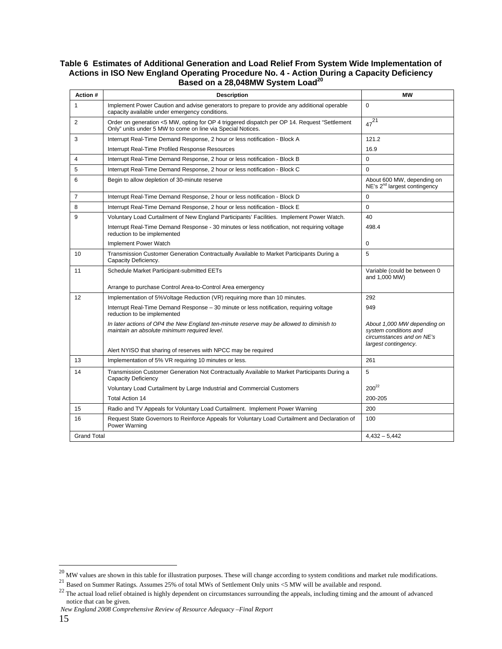#### **Table 6 Estimates of Additional Generation and Load Relief From System Wide Implementation of Actions in ISO New England Operating Procedure No. 4 - Action During a Capacity Deficiency Based on a 28,048MW System Load<sup>20</sup>**

| Action #           | <b>Description</b>                                                                                                                                          | <b>MW</b>                                                                                                 |
|--------------------|-------------------------------------------------------------------------------------------------------------------------------------------------------------|-----------------------------------------------------------------------------------------------------------|
| $\mathbf 1$        | Implement Power Caution and advise generators to prepare to provide any additional operable<br>capacity available under emergency conditions.               | $\Omega$                                                                                                  |
| 2                  | Order on generation <5 MW, opting for OP 4 triggered dispatch per OP 14. Request "Settlement<br>Only" units under 5 MW to come on line via Special Notices. | $47^{21}$                                                                                                 |
| 3                  | Interrupt Real-Time Demand Response, 2 hour or less notification - Block A                                                                                  | 121.2                                                                                                     |
|                    | Interrupt Real-Time Profiled Response Resources                                                                                                             | 16.9                                                                                                      |
| 4                  | Interrupt Real-Time Demand Response, 2 hour or less notification - Block B                                                                                  | $\Omega$                                                                                                  |
| 5                  | Interrupt Real-Time Demand Response, 2 hour or less notification - Block C                                                                                  | $\mathbf 0$                                                                                               |
| 6                  | Begin to allow depletion of 30-minute reserve                                                                                                               | About 600 MW, depending on<br>NE's 2 <sup>nd</sup> largest contingency                                    |
| $\overline{7}$     | Interrupt Real-Time Demand Response, 2 hour or less notification - Block D                                                                                  | $\Omega$                                                                                                  |
| 8                  | Interrupt Real-Time Demand Response, 2 hour or less notification - Block E                                                                                  | $\Omega$                                                                                                  |
| 9                  | Voluntary Load Curtailment of New England Participants' Facilities. Implement Power Watch.                                                                  | 40                                                                                                        |
|                    | Interrupt Real-Time Demand Response - 30 minutes or less notification, not requiring voltage<br>reduction to be implemented                                 | 498.4                                                                                                     |
|                    | Implement Power Watch                                                                                                                                       | $\mathbf 0$                                                                                               |
| 10                 | Transmission Customer Generation Contractually Available to Market Participants During a<br>Capacity Deficiency.                                            | 5                                                                                                         |
| 11                 | Schedule Market Participant-submitted EETs                                                                                                                  | Variable (could be between 0<br>and 1,000 MW)                                                             |
|                    | Arrange to purchase Control Area-to-Control Area emergency                                                                                                  |                                                                                                           |
| 12                 | Implementation of 5% Voltage Reduction (VR) requiring more than 10 minutes.                                                                                 | 292                                                                                                       |
|                    | Interrupt Real-Time Demand Response - 30 minute or less notification, requiring voltage<br>reduction to be implemented                                      | 949                                                                                                       |
|                    | In later actions of OP4 the New England ten-minute reserve may be allowed to diminish to<br>maintain an absolute minimum required level.                    | About 1,000 MW depending on<br>system conditions and<br>circumstances and on NE's<br>largest contingency. |
|                    | Alert NYISO that sharing of reserves with NPCC may be required                                                                                              |                                                                                                           |
| 13                 | Implementation of 5% VR requiring 10 minutes or less.                                                                                                       | 261                                                                                                       |
| 14                 | Transmission Customer Generation Not Contractually Available to Market Participants During a<br>Capacity Deficiency                                         | 5                                                                                                         |
|                    | Voluntary Load Curtailment by Large Industrial and Commercial Customers                                                                                     | $200^{22}$                                                                                                |
|                    | Total Action 14                                                                                                                                             | 200-205                                                                                                   |
| 15                 | Radio and TV Appeals for Voluntary Load Curtailment. Implement Power Warning                                                                                | 200                                                                                                       |
| 16                 | Request State Governors to Reinforce Appeals for Voluntary Load Curtailment and Declaration of<br>Power Warning                                             | 100                                                                                                       |
| <b>Grand Total</b> |                                                                                                                                                             | $4,432 - 5,442$                                                                                           |
|                    |                                                                                                                                                             |                                                                                                           |

<sup>&</sup>lt;sup>20</sup> MW values are shown in this table for illustration purposes. These will change according to system conditions and market rule modifications.<br><sup>21</sup> Based on Summer Ratings. Assumes 25% of total MWs of Settlement Only u

notice that can be given.

*New England 2008 Comprehensive Review of Resource Adequacy –Final Report*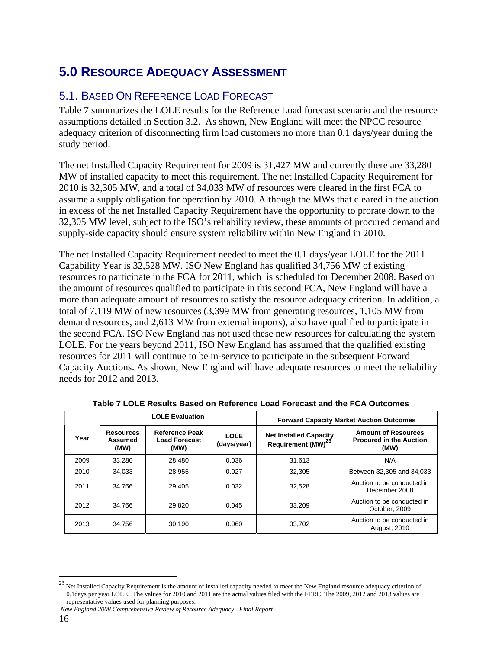# **5.0 RESOURCE ADEQUACY ASSESSMENT**

## 5.1. BASED ON REFERENCE LOAD FORECAST

Table 7 summarizes the LOLE results for the Reference Load forecast scenario and the resource assumptions detailed in Section 3.2. As shown, New England will meet the NPCC resource adequacy criterion of disconnecting firm load customers no more than 0.1 days/year during the study period.

The net Installed Capacity Requirement for 2009 is 31,427 MW and currently there are 33,280 MW of installed capacity to meet this requirement. The net Installed Capacity Requirement for 2010 is 32,305 MW, and a total of 34,033 MW of resources were cleared in the first FCA to assume a supply obligation for operation by 2010. Although the MWs that cleared in the auction in excess of the net Installed Capacity Requirement have the opportunity to prorate down to the 32,305 MW level, subject to the ISO's reliability review, these amounts of procured demand and supply-side capacity should ensure system reliability within New England in 2010.

The net Installed Capacity Requirement needed to meet the 0.1 days/year LOLE for the 2011 Capability Year is 32,528 MW. ISO New England has qualified 34,756 MW of existing resources to participate in the FCA for 2011, which is scheduled for December 2008. Based on the amount of resources qualified to participate in this second FCA, New England will have a more than adequate amount of resources to satisfy the resource adequacy criterion. In addition, a total of 7,119 MW of new resources (3,399 MW from generating resources, 1,105 MW from demand resources, and 2,613 MW from external imports), also have qualified to participate in the second FCA. ISO New England has not used these new resources for calculating the system LOLE. For the years beyond 2011, ISO New England has assumed that the qualified existing resources for 2011 will continue to be in-service to participate in the subsequent Forward Capacity Auctions. As shown, New England will have adequate resources to meet the reliability needs for 2012 and 2013.

| <b>LOLE Evaluation</b> |                                     |                                                       | <b>Forward Capacity Market Auction Outcomes</b> |                                                                 |                                                                      |
|------------------------|-------------------------------------|-------------------------------------------------------|-------------------------------------------------|-----------------------------------------------------------------|----------------------------------------------------------------------|
| Year                   | <b>Resources</b><br>Assumed<br>(MW) | <b>Reference Peak</b><br><b>Load Forecast</b><br>(MW) | <b>LOLE</b><br>(days/year)                      | <b>Net Installed Capacity</b><br>Requirement (MW) <sup>23</sup> | <b>Amount of Resources</b><br><b>Procured in the Auction</b><br>(MW) |
| 2009                   | 33,280                              | 28.480                                                | 0.036                                           | 31.613                                                          | N/A                                                                  |
| 2010                   | 34.033                              | 28.955                                                | 0.027                                           | 32.305                                                          | Between 32,305 and 34,033                                            |
| 2011                   | 34.756                              | 29.405                                                | 0.032                                           | 32.528                                                          | Auction to be conducted in<br>December 2008                          |
| 2012                   | 34.756                              | 29.820                                                | 0.045                                           | 33.209                                                          | Auction to be conducted in<br>October, 2009                          |
| 2013                   | 34,756                              | 30.190                                                | 0.060                                           | 33.702                                                          | Auction to be conducted in<br>August, 2010                           |

**Table 7 LOLE Results Based on Reference Load Forecast and the FCA Outcomes** 

<sup>&</sup>lt;sup>23</sup> Net Installed Capacity Requirement is the amount of installed capacity needed to meet the New England resource adequacy criterion of 0.1days per year LOLE. The values for 2010 and 2011 are the actual values filed with the FERC. The 2009, 2012 and 2013 values are representative values used for planning purposes.

*New England 2008 Comprehensive Review of Resource Adequacy –Final Report*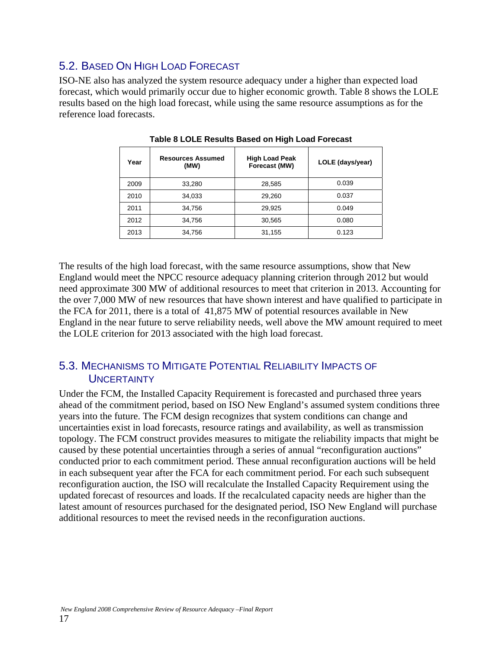## 5.2. BASED ON HIGH LOAD FORECAST

ISO-NE also has analyzed the system resource adequacy under a higher than expected load forecast, which would primarily occur due to higher economic growth. Table 8 shows the LOLE results based on the high load forecast, while using the same resource assumptions as for the reference load forecasts.

| Year | <b>Resources Assumed</b><br>(MW) | <b>High Load Peak</b><br>Forecast (MW) | LOLE (days/year) |
|------|----------------------------------|----------------------------------------|------------------|
| 2009 | 33,280                           | 28,585                                 | 0.039            |
| 2010 | 34,033                           | 29,260                                 | 0.037            |
| 2011 | 34.756                           | 29,925                                 | 0.049            |
| 2012 | 34,756                           | 30,565                                 | 0.080            |
| 2013 | 34,756                           | 31,155                                 | 0.123            |

**Table 8 LOLE Results Based on High Load Forecast** 

The results of the high load forecast, with the same resource assumptions, show that New England would meet the NPCC resource adequacy planning criterion through 2012 but would need approximate 300 MW of additional resources to meet that criterion in 2013. Accounting for the over 7,000 MW of new resources that have shown interest and have qualified to participate in the FCA for 2011, there is a total of 41,875 MW of potential resources available in New England in the near future to serve reliability needs, well above the MW amount required to meet the LOLE criterion for 2013 associated with the high load forecast.

## 5.3. MECHANISMS TO MITIGATE POTENTIAL RELIABILITY IMPACTS OF **UNCERTAINTY**

Under the FCM, the Installed Capacity Requirement is forecasted and purchased three years ahead of the commitment period, based on ISO New England's assumed system conditions three years into the future. The FCM design recognizes that system conditions can change and uncertainties exist in load forecasts, resource ratings and availability, as well as transmission topology. The FCM construct provides measures to mitigate the reliability impacts that might be caused by these potential uncertainties through a series of annual "reconfiguration auctions" conducted prior to each commitment period. These annual reconfiguration auctions will be held in each subsequent year after the FCA for each commitment period. For each such subsequent reconfiguration auction, the ISO will recalculate the Installed Capacity Requirement using the updated forecast of resources and loads. If the recalculated capacity needs are higher than the latest amount of resources purchased for the designated period, ISO New England will purchase additional resources to meet the revised needs in the reconfiguration auctions.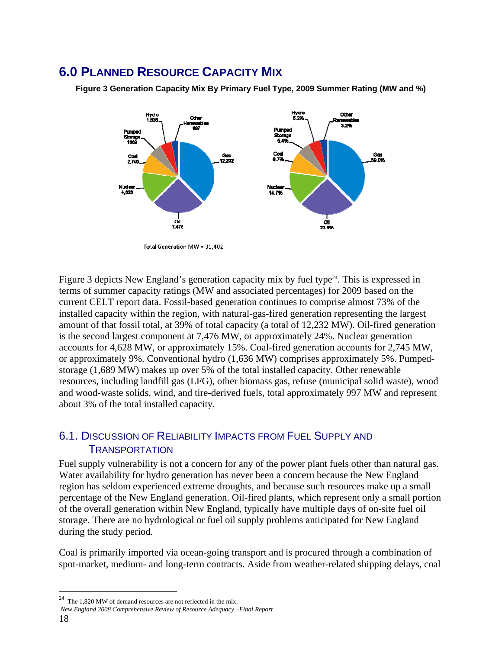# **6.0 PLANNED RESOURCE CAPACITY MIX**

**Figure 3 Generation Capacity Mix By Primary Fuel Type, 2009 Summer Rating (MW and %)** 



Total Generation MW = 31,402

Figure 3 depicts New England's generation capacity mix by fuel type<sup>24</sup>. This is expressed in terms of summer capacity ratings (MW and associated percentages) for 2009 based on the current CELT report data. Fossil-based generation continues to comprise almost 73% of the installed capacity within the region, with natural-gas-fired generation representing the largest amount of that fossil total, at 39% of total capacity (a total of 12,232 MW). Oil-fired generation is the second largest component at 7,476 MW, or approximately 24%. Nuclear generation accounts for 4,628 MW, or approximately 15%. Coal-fired generation accounts for 2,745 MW, or approximately 9%. Conventional hydro (1,636 MW) comprises approximately 5%. Pumpedstorage (1,689 MW) makes up over 5% of the total installed capacity. Other renewable resources, including landfill gas (LFG), other biomass gas, refuse (municipal solid waste), wood and wood-waste solids, wind, and tire-derived fuels, total approximately 997 MW and represent about 3% of the total installed capacity.

#### 6.1. DISCUSSION OF RELIABILITY IMPACTS FROM FUEL SUPPLY AND **TRANSPORTATION**

Fuel supply vulnerability is not a concern for any of the power plant fuels other than natural gas. Water availability for hydro generation has never been a concern because the New England region has seldom experienced extreme droughts, and because such resources make up a small percentage of the New England generation. Oil-fired plants, which represent only a small portion of the overall generation within New England, typically have multiple days of on-site fuel oil storage. There are no hydrological or fuel oil supply problems anticipated for New England during the study period.

Coal is primarily imported via ocean-going transport and is procured through a combination of spot-market, medium- and long-term contracts. Aside from weather-related shipping delays, coal

 $^{24}$  The 1,820 MW of demand resources are not reflected in the mix.

*New England 2008 Comprehensive Review of Resource Adequacy –Final Report*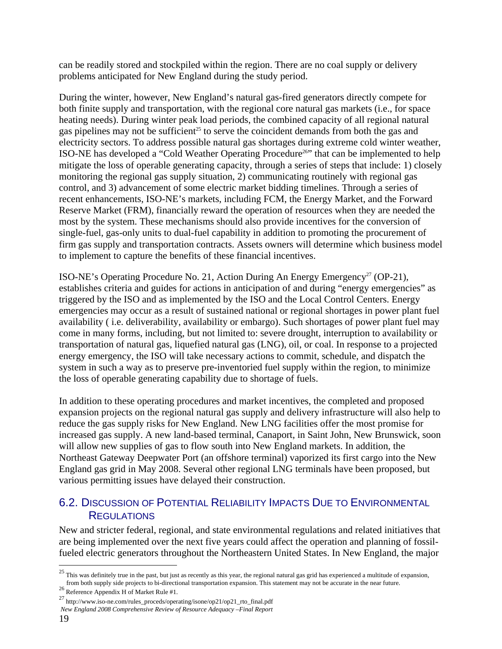can be readily stored and stockpiled within the region. There are no coal supply or delivery problems anticipated for New England during the study period.

During the winter, however, New England's natural gas-fired generators directly compete for both finite supply and transportation, with the regional core natural gas markets (i.e., for space heating needs). During winter peak load periods, the combined capacity of all regional natural gas pipelines may not be sufficient<sup>25</sup> to serve the coincident demands from both the gas and electricity sectors. To address possible natural gas shortages during extreme cold winter weather, ISO-NE has developed a "Cold Weather Operating Procedure<sup>26</sup>" that can be implemented to help mitigate the loss of operable generating capacity, through a series of steps that include: 1) closely monitoring the regional gas supply situation, 2) communicating routinely with regional gas control, and 3) advancement of some electric market bidding timelines. Through a series of recent enhancements, ISO-NE's markets, including FCM, the Energy Market, and the Forward Reserve Market (FRM), financially reward the operation of resources when they are needed the most by the system. These mechanisms should also provide incentives for the conversion of single-fuel, gas-only units to dual-fuel capability in addition to promoting the procurement of firm gas supply and transportation contracts. Assets owners will determine which business model to implement to capture the benefits of these financial incentives.

ISO-NE's Operating Procedure No. 21, Action During An Energy Emergency<sup>27</sup> (OP-21), establishes criteria and guides for actions in anticipation of and during "energy emergencies" as triggered by the ISO and as implemented by the ISO and the Local Control Centers. Energy emergencies may occur as a result of sustained national or regional shortages in power plant fuel availability ( i.e. deliverability, availability or embargo). Such shortages of power plant fuel may come in many forms, including, but not limited to: severe drought, interruption to availability or transportation of natural gas, liquefied natural gas (LNG), oil, or coal. In response to a projected energy emergency, the ISO will take necessary actions to commit, schedule, and dispatch the system in such a way as to preserve pre-inventoried fuel supply within the region, to minimize the loss of operable generating capability due to shortage of fuels.

In addition to these operating procedures and market incentives, the completed and proposed expansion projects on the regional natural gas supply and delivery infrastructure will also help to reduce the gas supply risks for New England. New LNG facilities offer the most promise for increased gas supply. A new land-based terminal, Canaport, in Saint John, New Brunswick, soon will allow new supplies of gas to flow south into New England markets. In addition, the Northeast Gateway Deepwater Port (an offshore terminal) vaporized its first cargo into the New England gas grid in May 2008. Several other regional LNG terminals have been proposed, but various permitting issues have delayed their construction.

#### 6.2. DISCUSSION OF POTENTIAL RELIABILITY IMPACTS DUE TO ENVIRONMENTAL **REGULATIONS**

New and stricter federal, regional, and state environmental regulations and related initiatives that are being implemented over the next five years could affect the operation and planning of fossilfueled electric generators throughout the Northeastern United States. In New England, the major

 $^{25}$  This was definitely true in the past, but just as recently as this year, the regional natural gas grid has experienced a multitude of expansion, from both supply side projects to bi-directional transportation expansion. This statement may not be accurate in the near future.<br><sup>26</sup> Reference Appendix H of Market Rule #1.

<sup>27</sup> http://www.iso-ne.com/rules\_proceds/operating/isone/op21/op21\_rto\_final.pdf

*New England 2008 Comprehensive Review of Resource Adequacy –Final Report*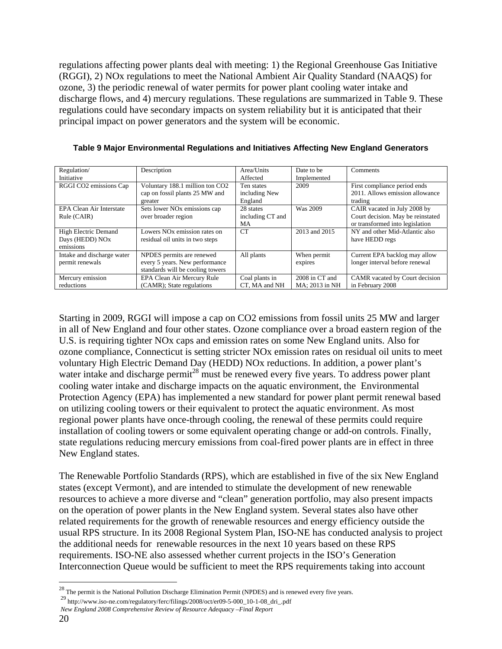regulations affecting power plants deal with meeting: 1) the Regional Greenhouse Gas Initiative (RGGI), 2) NOx regulations to meet the National Ambient Air Quality Standard (NAAQS) for ozone, 3) the periodic renewal of water permits for power plant cooling water intake and discharge flows, and 4) mercury regulations. These regulations are summarized in Table 9. These regulations could have secondary impacts on system reliability but it is anticipated that their principal impact on power generators and the system will be economic.

| Regulation/                | Description                              | Area/Units       | Date to be     | Comments                          |
|----------------------------|------------------------------------------|------------------|----------------|-----------------------------------|
| Initiative                 |                                          | Affected         | Implemented    |                                   |
| RGGI CO2 emissions Cap     | Voluntary 188.1 million ton CO2          | Ten states       | 2009           | First compliance period ends      |
|                            | cap on fossil plants 25 MW and           | including New    |                | 2011. Allows emission allowance   |
|                            | greater                                  | England          |                | trading                           |
| EPA Clean Air Interstate   | Sets lower NO <sub>x</sub> emissions cap | 28 states        | Was 2009       | CAIR vacated in July 2008 by      |
| Rule (CAIR)                | over broader region                      | including CT and |                | Court decision. May be reinstated |
|                            |                                          | MA               |                | or transformed into legislation   |
| High Electric Demand       | Lowers NO <sub>x</sub> emission rates on | CT               | 2013 and 2015  | NY and other Mid-Atlantic also    |
| Days (HEDD) NOx            | residual oil units in two steps          |                  |                | have HEDD regs                    |
| emissions                  |                                          |                  |                |                                   |
| Intake and discharge water | NPDES permits are renewed                | All plants       | When permit    | Current EPA backlog may allow     |
| permit renewals            | every 5 years. New performance           |                  | expires        | longer interval before renewal    |
|                            | standards will be cooling towers         |                  |                |                                   |
| Mercury emission           | EPA Clean Air Mercury Rule               | Coal plants in   | 2008 in CT and | CAMR vacated by Court decision    |
| reductions                 | (CAMR); State regulations                | CT, MA and NH    | MA; 2013 in NH | in February 2008                  |

**Table 9 Major Environmental Regulations and Initiatives Affecting New England Generators** 

Starting in 2009, RGGI will impose a cap on CO2 emissions from fossil units 25 MW and larger in all of New England and four other states. Ozone compliance over a broad eastern region of the U.S. is requiring tighter NOx caps and emission rates on some New England units. Also for ozone compliance, Connecticut is setting stricter NOx emission rates on residual oil units to meet voluntary High Electric Demand Day (HEDD) NOx reductions. In addition, a power plant's water intake and discharge permit<sup>28</sup> must be renewed every five years. To address power plant cooling water intake and discharge impacts on the aquatic environment, the Environmental Protection Agency (EPA) has implemented a new standard for power plant permit renewal based on utilizing cooling towers or their equivalent to protect the aquatic environment. As most regional power plants have once-through cooling, the renewal of these permits could require installation of cooling towers or some equivalent operating change or add-on controls. Finally, state regulations reducing mercury emissions from coal-fired power plants are in effect in three New England states.

The Renewable Portfolio Standards (RPS), which are established in five of the six New England states (except Vermont), and are intended to stimulate the development of new renewable resources to achieve a more diverse and "clean" generation portfolio, may also present impacts on the operation of power plants in the New England system. Several states also have other related requirements for the growth of renewable resources and energy efficiency outside the usual RPS structure. In its 2008 Regional System Plan, ISO-NE has conducted analysis to project the additional needs for renewable resources in the next 10 years based on these RPS requirements. ISO-NE also assessed whether current projects in the ISO's Generation Interconnection Queue would be sufficient to meet the RPS requirements taking into account

29 http://www.iso-ne.com/regulatory/ferc/filings/2008/oct/er09-5-000\_10-1-08\_dri\_.pdf

 $^{28}$  The permit is the National Pollution Discharge Elimination Permit (NPDES) and is renewed every five years.

*New England 2008 Comprehensive Review of Resource Adequacy –Final Report*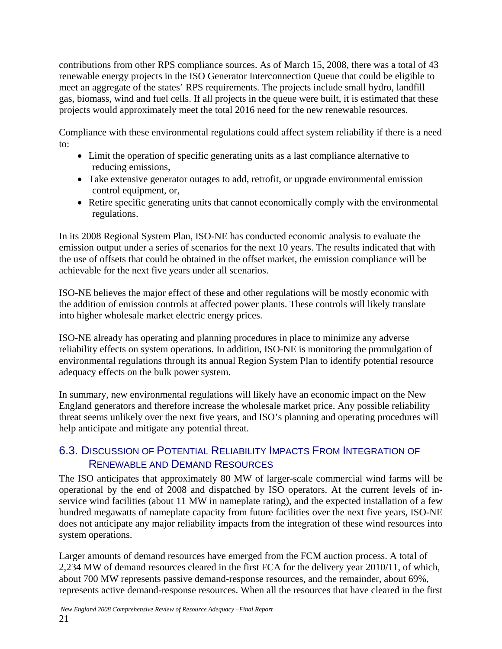contributions from other RPS compliance sources. As of March 15, 2008, there was a total of 43 renewable energy projects in the ISO Generator Interconnection Queue that could be eligible to meet an aggregate of the states' RPS requirements. The projects include small hydro, landfill gas, biomass, wind and fuel cells. If all projects in the queue were built, it is estimated that these projects would approximately meet the total 2016 need for the new renewable resources.

Compliance with these environmental regulations could affect system reliability if there is a need to:

- Limit the operation of specific generating units as a last compliance alternative to reducing emissions,
- Take extensive generator outages to add, retrofit, or upgrade environmental emission control equipment, or,
- Retire specific generating units that cannot economically comply with the environmental regulations.

In its 2008 Regional System Plan, ISO-NE has conducted economic analysis to evaluate the emission output under a series of scenarios for the next 10 years. The results indicated that with the use of offsets that could be obtained in the offset market, the emission compliance will be achievable for the next five years under all scenarios.

ISO-NE believes the major effect of these and other regulations will be mostly economic with the addition of emission controls at affected power plants. These controls will likely translate into higher wholesale market electric energy prices.

ISO-NE already has operating and planning procedures in place to minimize any adverse reliability effects on system operations. In addition, ISO-NE is monitoring the promulgation of environmental regulations through its annual Region System Plan to identify potential resource adequacy effects on the bulk power system.

In summary, new environmental regulations will likely have an economic impact on the New England generators and therefore increase the wholesale market price. Any possible reliability threat seems unlikely over the next five years, and ISO's planning and operating procedures will help anticipate and mitigate any potential threat.

#### 6.3. DISCUSSION OF POTENTIAL RELIABILITY IMPACTS FROM INTEGRATION OF RENEWABLE AND DEMAND RESOURCES

The ISO anticipates that approximately 80 MW of larger-scale commercial wind farms will be operational by the end of 2008 and dispatched by ISO operators. At the current levels of inservice wind facilities (about 11 MW in nameplate rating), and the expected installation of a few hundred megawatts of nameplate capacity from future facilities over the next five years, ISO-NE does not anticipate any major reliability impacts from the integration of these wind resources into system operations.

Larger amounts of demand resources have emerged from the FCM auction process. A total of 2,234 MW of demand resources cleared in the first FCA for the delivery year 2010/11, of which, about 700 MW represents passive demand-response resources, and the remainder, about 69%, represents active demand-response resources. When all the resources that have cleared in the first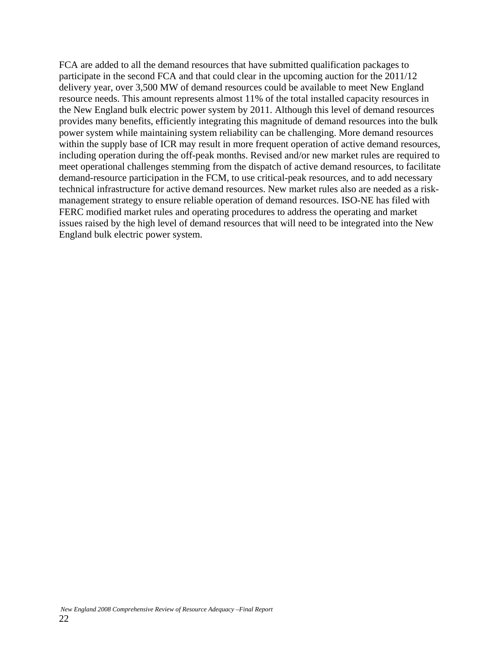FCA are added to all the demand resources that have submitted qualification packages to participate in the second FCA and that could clear in the upcoming auction for the 2011/12 delivery year, over 3,500 MW of demand resources could be available to meet New England resource needs. This amount represents almost 11% of the total installed capacity resources in the New England bulk electric power system by 2011. Although this level of demand resources provides many benefits, efficiently integrating this magnitude of demand resources into the bulk power system while maintaining system reliability can be challenging. More demand resources within the supply base of ICR may result in more frequent operation of active demand resources, including operation during the off-peak months. Revised and/or new market rules are required to meet operational challenges stemming from the dispatch of active demand resources, to facilitate demand-resource participation in the FCM, to use critical-peak resources, and to add necessary technical infrastructure for active demand resources. New market rules also are needed as a riskmanagement strategy to ensure reliable operation of demand resources. ISO-NE has filed with FERC modified market rules and operating procedures to address the operating and market issues raised by the high level of demand resources that will need to be integrated into the New England bulk electric power system.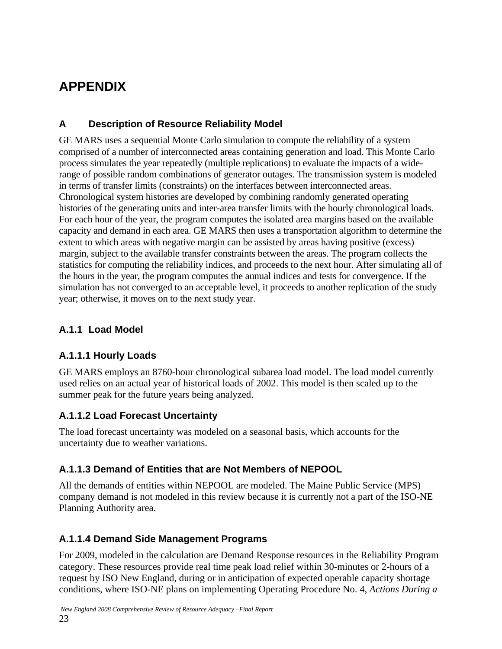# **APPENDIX**

### **A Description of Resource Reliability Model**

GE MARS uses a sequential Monte Carlo simulation to compute the reliability of a system comprised of a number of interconnected areas containing generation and load. This Monte Carlo process simulates the year repeatedly (multiple replications) to evaluate the impacts of a widerange of possible random combinations of generator outages. The transmission system is modeled in terms of transfer limits (constraints) on the interfaces between interconnected areas. Chronological system histories are developed by combining randomly generated operating histories of the generating units and inter-area transfer limits with the hourly chronological loads. For each hour of the year, the program computes the isolated area margins based on the available capacity and demand in each area. GE MARS then uses a transportation algorithm to determine the extent to which areas with negative margin can be assisted by areas having positive (excess) margin, subject to the available transfer constraints between the areas. The program collects the statistics for computing the reliability indices, and proceeds to the next hour. After simulating all of the hours in the year, the program computes the annual indices and tests for convergence. If the simulation has not converged to an acceptable level, it proceeds to another replication of the study year; otherwise, it moves on to the next study year.

#### **A.1.1 Load Model**

#### **A.1.1.1 Hourly Loads**

GE MARS employs an 8760-hour chronological subarea load model. The load model currently used relies on an actual year of historical loads of 2002. This model is then scaled up to the summer peak for the future years being analyzed.

#### **A.1.1.2 Load Forecast Uncertainty**

The load forecast uncertainty was modeled on a seasonal basis, which accounts for the uncertainty due to weather variations.

#### **A.1.1.3 Demand of Entities that are Not Members of NEPOOL**

All the demands of entities within NEPOOL are modeled. The Maine Public Service (MPS) company demand is not modeled in this review because it is currently not a part of the ISO-NE Planning Authority area.

#### **A.1.1.4 Demand Side Management Programs**

For 2009, modeled in the calculation are Demand Response resources in the Reliability Program category. These resources provide real time peak load relief within 30-minutes or 2-hours of a request by ISO New England, during or in anticipation of expected operable capacity shortage conditions, where ISO-NE plans on implementing Operating Procedure No. 4, *Actions During a*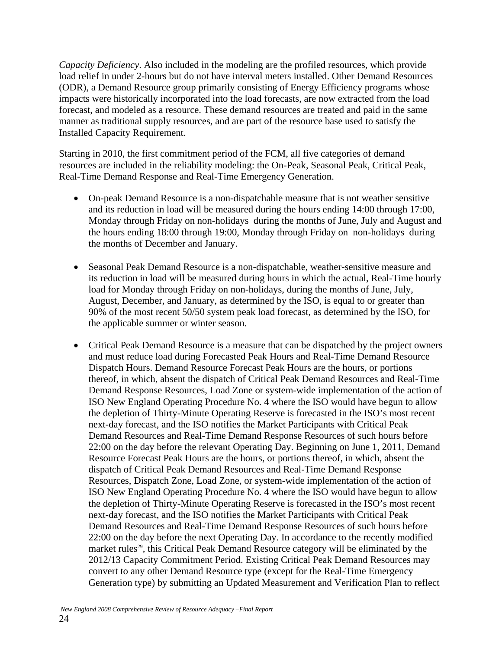*Capacity Deficiency*. Also included in the modeling are the profiled resources, which provide load relief in under 2-hours but do not have interval meters installed. Other Demand Resources (ODR), a Demand Resource group primarily consisting of Energy Efficiency programs whose impacts were historically incorporated into the load forecasts, are now extracted from the load forecast, and modeled as a resource. These demand resources are treated and paid in the same manner as traditional supply resources, and are part of the resource base used to satisfy the Installed Capacity Requirement.

Starting in 2010, the first commitment period of the FCM, all five categories of demand resources are included in the reliability modeling: the On-Peak, Seasonal Peak, Critical Peak, Real-Time Demand Response and Real-Time Emergency Generation.

- On-peak Demand Resource is a non-dispatchable measure that is not weather sensitive and its reduction in load will be measured during the hours ending 14:00 through 17:00, Monday through Friday on non-holidays during the months of June, July and August and the hours ending 18:00 through 19:00, Monday through Friday on non-holidays during the months of December and January.
- Seasonal Peak Demand Resource is a non-dispatchable, weather-sensitive measure and its reduction in load will be measured during hours in which the actual, Real-Time hourly load for Monday through Friday on non-holidays, during the months of June, July, August, December, and January, as determined by the ISO, is equal to or greater than 90% of the most recent 50/50 system peak load forecast, as determined by the ISO, for the applicable summer or winter season.
- Critical Peak Demand Resource is a measure that can be dispatched by the project owners and must reduce load during Forecasted Peak Hours and Real-Time Demand Resource Dispatch Hours. Demand Resource Forecast Peak Hours are the hours, or portions thereof, in which, absent the dispatch of Critical Peak Demand Resources and Real-Time Demand Response Resources, Load Zone or system-wide implementation of the action of ISO New England Operating Procedure No. 4 where the ISO would have begun to allow the depletion of Thirty-Minute Operating Reserve is forecasted in the ISO's most recent next-day forecast, and the ISO notifies the Market Participants with Critical Peak Demand Resources and Real-Time Demand Response Resources of such hours before 22:00 on the day before the relevant Operating Day. Beginning on June 1, 2011, Demand Resource Forecast Peak Hours are the hours, or portions thereof, in which, absent the dispatch of Critical Peak Demand Resources and Real-Time Demand Response Resources, Dispatch Zone, Load Zone, or system-wide implementation of the action of ISO New England Operating Procedure No. 4 where the ISO would have begun to allow the depletion of Thirty-Minute Operating Reserve is forecasted in the ISO's most recent next-day forecast, and the ISO notifies the Market Participants with Critical Peak Demand Resources and Real-Time Demand Response Resources of such hours before 22:00 on the day before the next Operating Day. In accordance to the recently modified market rules<sup>29</sup>, this Critical Peak Demand Resource category will be eliminated by the 2012/13 Capacity Commitment Period. Existing Critical Peak Demand Resources may convert to any other Demand Resource type (except for the Real-Time Emergency Generation type) by submitting an Updated Measurement and Verification Plan to reflect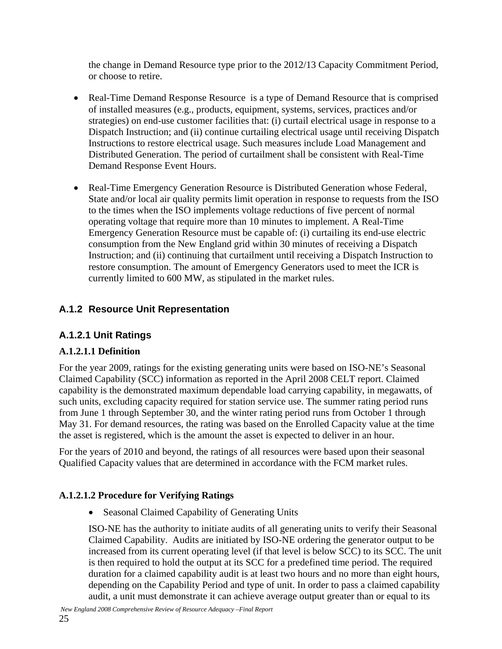the change in Demand Resource type prior to the 2012/13 Capacity Commitment Period, or choose to retire.

- Real-Time Demand Response Resource is a type of Demand Resource that is comprised of installed measures (e.g., products, equipment, systems, services, practices and/or strategies) on end-use customer facilities that: (i) curtail electrical usage in response to a Dispatch Instruction; and (ii) continue curtailing electrical usage until receiving Dispatch Instructions to restore electrical usage. Such measures include Load Management and Distributed Generation. The period of curtailment shall be consistent with Real-Time Demand Response Event Hours.
- Real-Time Emergency Generation Resource is Distributed Generation whose Federal, State and/or local air quality permits limit operation in response to requests from the ISO to the times when the ISO implements voltage reductions of five percent of normal operating voltage that require more than 10 minutes to implement. A Real-Time Emergency Generation Resource must be capable of: (i) curtailing its end-use electric consumption from the New England grid within 30 minutes of receiving a Dispatch Instruction; and (ii) continuing that curtailment until receiving a Dispatch Instruction to restore consumption. The amount of Emergency Generators used to meet the ICR is currently limited to 600 MW, as stipulated in the market rules.

## **A.1.2 Resource Unit Representation**

## **A.1.2.1 Unit Ratings**

#### **A.1.2.1.1 Definition**

For the year 2009, ratings for the existing generating units were based on ISO-NE's Seasonal Claimed Capability (SCC) information as reported in the April 2008 CELT report. Claimed capability is the demonstrated maximum dependable load carrying capability, in megawatts, of such units, excluding capacity required for station service use. The summer rating period runs from June 1 through September 30, and the winter rating period runs from October 1 through May 31. For demand resources, the rating was based on the Enrolled Capacity value at the time the asset is registered, which is the amount the asset is expected to deliver in an hour.

For the years of 2010 and beyond, the ratings of all resources were based upon their seasonal Qualified Capacity values that are determined in accordance with the FCM market rules.

#### **A.1.2.1.2 Procedure for Verifying Ratings**

• Seasonal Claimed Capability of Generating Units

ISO-NE has the authority to initiate audits of all generating units to verify their Seasonal Claimed Capability. Audits are initiated by ISO-NE ordering the generator output to be increased from its current operating level (if that level is below SCC) to its SCC. The unit is then required to hold the output at its SCC for a predefined time period. The required duration for a claimed capability audit is at least two hours and no more than eight hours, depending on the Capability Period and type of unit. In order to pass a claimed capability audit, a unit must demonstrate it can achieve average output greater than or equal to its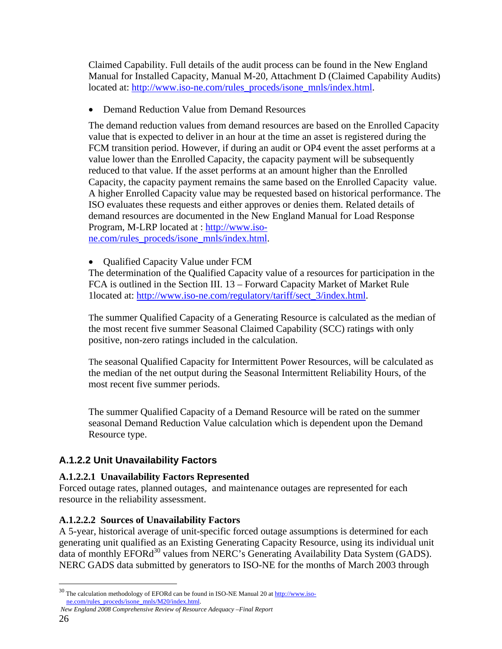Claimed Capability. Full details of the audit process can be found in the New England Manual for Installed Capacity, Manual M-20, Attachment D (Claimed Capability Audits) located at: http://www.iso-ne.com/rules\_proceds/isone\_mnls/index.html.

• Demand Reduction Value from Demand Resources

The demand reduction values from demand resources are based on the Enrolled Capacity value that is expected to deliver in an hour at the time an asset is registered during the FCM transition period. However, if during an audit or OP4 event the asset performs at a value lower than the Enrolled Capacity, the capacity payment will be subsequently reduced to that value. If the asset performs at an amount higher than the Enrolled Capacity, the capacity payment remains the same based on the Enrolled Capacity value. A higher Enrolled Capacity value may be requested based on historical performance. The ISO evaluates these requests and either approves or denies them. Related details of demand resources are documented in the New England Manual for Load Response Program, M-LRP located at : http://www.isone.com/rules\_proceds/isone\_mnls/index.html.

• Oualified Capacity Value under FCM

The determination of the Qualified Capacity value of a resources for participation in the FCA is outlined in the Section III. 13 – Forward Capacity Market of Market Rule 1located at: http://www.iso-ne.com/regulatory/tariff/sect\_3/index.html.

The summer Qualified Capacity of a Generating Resource is calculated as the median of the most recent five summer Seasonal Claimed Capability (SCC) ratings with only positive, non-zero ratings included in the calculation.

The seasonal Qualified Capacity for Intermittent Power Resources, will be calculated as the median of the net output during the Seasonal Intermittent Reliability Hours, of the most recent five summer periods.

The summer Qualified Capacity of a Demand Resource will be rated on the summer seasonal Demand Reduction Value calculation which is dependent upon the Demand Resource type.

#### **A.1.2.2 Unit Unavailability Factors**

#### **A.1.2.2.1 Unavailability Factors Represented**

Forced outage rates, planned outages, and maintenance outages are represented for each resource in the reliability assessment.

#### **A.1.2.2.2 Sources of Unavailability Factors**

A 5-year, historical average of unit-specific forced outage assumptions is determined for each generating unit qualified as an Existing Generating Capacity Resource, using its individual unit data of monthly EFORd<sup>30</sup> values from NERC's Generating Availability Data System (GADS). NERC GADS data submitted by generators to ISO-NE for the months of March 2003 through

 $30$  The calculation methodology of EFORd can be found in ISO-NE Manual 20 at  $\frac{http://www.iso-}$ ne.com/rules\_proceds/isone\_mnls/M20/index.html.

*New England 2008 Comprehensive Review of Resource Adequacy –Final Report*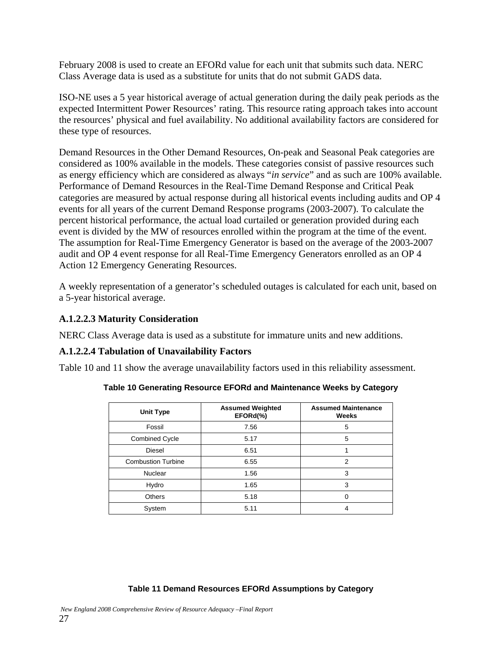February 2008 is used to create an EFORd value for each unit that submits such data. NERC Class Average data is used as a substitute for units that do not submit GADS data.

ISO-NE uses a 5 year historical average of actual generation during the daily peak periods as the expected Intermittent Power Resources' rating. This resource rating approach takes into account the resources' physical and fuel availability. No additional availability factors are considered for these type of resources.

Demand Resources in the Other Demand Resources, On-peak and Seasonal Peak categories are considered as 100% available in the models. These categories consist of passive resources such as energy efficiency which are considered as always "*in service*" and as such are 100% available. Performance of Demand Resources in the Real-Time Demand Response and Critical Peak categories are measured by actual response during all historical events including audits and OP 4 events for all years of the current Demand Response programs (2003-2007). To calculate the percent historical performance, the actual load curtailed or generation provided during each event is divided by the MW of resources enrolled within the program at the time of the event. The assumption for Real-Time Emergency Generator is based on the average of the 2003-2007 audit and OP 4 event response for all Real-Time Emergency Generators enrolled as an OP 4 Action 12 Emergency Generating Resources.

A weekly representation of a generator's scheduled outages is calculated for each unit, based on a 5-year historical average.

#### **A.1.2.2.3 Maturity Consideration**

NERC Class Average data is used as a substitute for immature units and new additions.

#### **A.1.2.2.4 Tabulation of Unavailability Factors**

Table 10 and 11 show the average unavailability factors used in this reliability assessment.

| <b>Unit Type</b>          | <b>Assumed Weighted</b><br>EFORd(%) | <b>Assumed Maintenance</b><br>Weeks |
|---------------------------|-------------------------------------|-------------------------------------|
| Fossil                    | 7.56                                | 5                                   |
| <b>Combined Cycle</b>     | 5.17                                | 5                                   |
| <b>Diesel</b>             | 6.51                                |                                     |
| <b>Combustion Turbine</b> | 6.55                                | $\overline{2}$                      |
| <b>Nuclear</b>            | 1.56                                | 3                                   |
| Hydro                     | 1.65                                | 3                                   |
| <b>Others</b>             | 5.18                                |                                     |
| System                    | 5.11                                |                                     |

**Table 10 Generating Resource EFORd and Maintenance Weeks by Category** 

#### **Table 11 Demand Resources EFORd Assumptions by Category**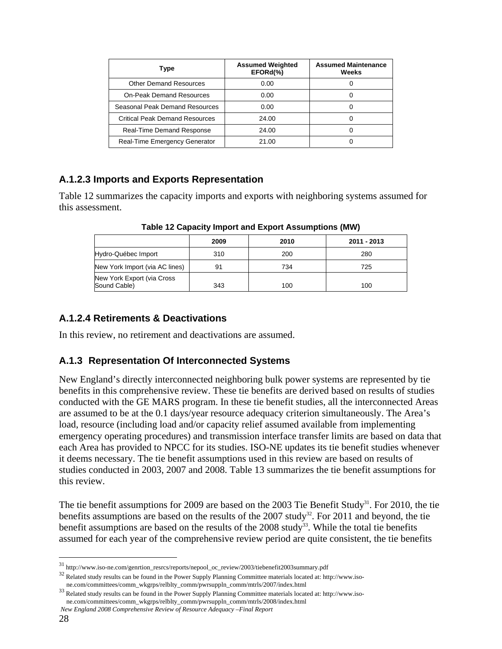| Type                                  | <b>Assumed Weighted</b><br>EFORd(%) | <b>Assumed Maintenance</b><br>Weeks |
|---------------------------------------|-------------------------------------|-------------------------------------|
| <b>Other Demand Resources</b>         | 0.00                                |                                     |
| <b>On-Peak Demand Resources</b>       | 0.00                                |                                     |
| Seasonal Peak Demand Resources        | 0.00                                |                                     |
| <b>Critical Peak Demand Resources</b> | 24.00                               |                                     |
| <b>Real-Time Demand Response</b>      | 24.00                               |                                     |
| Real-Time Emergency Generator         | 21.00                               |                                     |

#### **A.1.2.3 Imports and Exports Representation**

Table 12 summarizes the capacity imports and exports with neighboring systems assumed for this assessment.

|                                            | 2009 | 2010 | 2011 - 2013 |
|--------------------------------------------|------|------|-------------|
| Hydro-Québec Import                        | 310  | 200  | 280         |
| New York Import (via AC lines)             | 91   | 734  | 725         |
| New York Export (via Cross<br>Sound Cable) | 343  | 100  | 100         |

**Table 12 Capacity Import and Export Assumptions (MW)** 

#### **A.1.2.4 Retirements & Deactivations**

In this review, no retirement and deactivations are assumed.

#### **A.1.3 Representation Of Interconnected Systems**

New England's directly interconnected neighboring bulk power systems are represented by tie benefits in this comprehensive review. These tie benefits are derived based on results of studies conducted with the GE MARS program. In these tie benefit studies, all the interconnected Areas are assumed to be at the 0.1 days/year resource adequacy criterion simultaneously. The Area's load, resource (including load and/or capacity relief assumed available from implementing emergency operating procedures) and transmission interface transfer limits are based on data that each Area has provided to NPCC for its studies. ISO-NE updates its tie benefit studies whenever it deems necessary. The tie benefit assumptions used in this review are based on results of studies conducted in 2003, 2007 and 2008. Table 13 summarizes the tie benefit assumptions for this review.

The tie benefit assumptions for 2009 are based on the 2003 Tie Benefit Study<sup>31</sup>. For 2010, the tie benefits assumptions are based on the results of the  $2007$  study<sup>32</sup>. For  $2011$  and beyond, the tie benefit assumptions are based on the results of the 2008 study<sup>33</sup>. While the total tie benefits assumed for each year of the comprehensive review period are quite consistent, the tie benefits

<sup>&</sup>lt;sup>31</sup> http://www.iso-ne.com/genrtion\_resrcs/reports/nepool\_oc\_review/2003/tiebenefit2003summary.pdf  $^{32}$  Related study results can be found in the Power Supply Planning Committee materials located at: http://www.iso-ne.c

ne.com/committees/comm\_wkgrps/relblty\_comm/pwrsuppln\_comm/mtrls/2007/index.html 33 Related study results can be found in the Power Supply Planning Committee materials located at: http://www.isone.com/committees/comm\_wkgrps/relblty\_comm/pwrsuppln\_comm/mtrls/2008/index.html

*New England 2008 Comprehensive Review of Resource Adequacy –Final Report*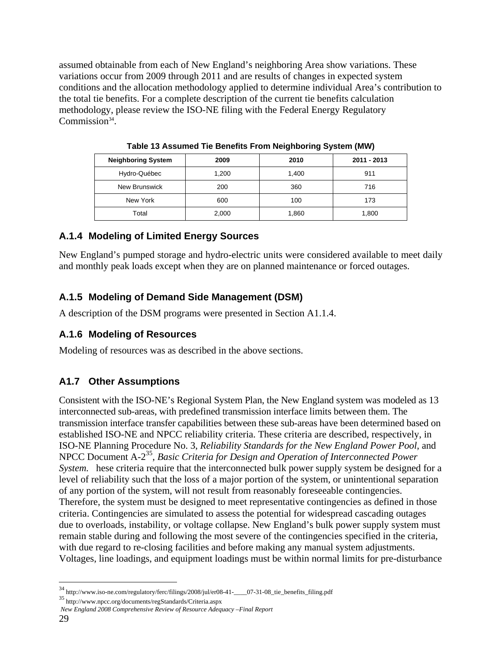assumed obtainable from each of New England's neighboring Area show variations. These variations occur from 2009 through 2011 and are results of changes in expected system conditions and the allocation methodology applied to determine individual Area's contribution to the total tie benefits. For a complete description of the current tie benefits calculation methodology, please review the ISO-NE filing with the Federal Energy Regulatory Commission $34$ .

| <b>Neighboring System</b> | 2009  | 2010  | 2011 - 2013 |
|---------------------------|-------|-------|-------------|
| Hydro-Québec              | 1,200 | 1,400 | 911         |
| New Brunswick             | 200   | 360   | 716         |
| New York                  | 600   | 100   | 173         |
| Total                     | 2,000 | 1,860 | 1,800       |

**Table 13 Assumed Tie Benefits From Neighboring System (MW)** 

#### **A.1.4 Modeling of Limited Energy Sources**

New England's pumped storage and hydro-electric units were considered available to meet daily and monthly peak loads except when they are on planned maintenance or forced outages.

### **A.1.5 Modeling of Demand Side Management (DSM)**

A description of the DSM programs were presented in Section A1.1.4.

#### **A.1.6 Modeling of Resources**

Modeling of resources was as described in the above sections.

#### **A1.7 Other Assumptions**

Consistent with the ISO-NE's Regional System Plan, the New England system was modeled as 13 interconnected sub-areas, with predefined transmission interface limits between them. The transmission interface transfer capabilities between these sub-areas have been determined based on established ISO-NE and NPCC reliability criteria. These criteria are described, respectively, in ISO-NE Planning Procedure No. 3, *Reliability Standards for the New England Power Pool*, and NPCC Document A-235, *Basic Criteria for Design and Operation of Interconnected Power System.* hese criteria require that the interconnected bulk power supply system be designed for a level of reliability such that the loss of a major portion of the system, or unintentional separation of any portion of the system, will not result from reasonably foreseeable contingencies. Therefore, the system must be designed to meet representative contingencies as defined in those criteria. Contingencies are simulated to assess the potential for widespread cascading outages due to overloads, instability, or voltage collapse. New England's bulk power supply system must remain stable during and following the most severe of the contingencies specified in the criteria, with due regard to re-closing facilities and before making any manual system adjustments. Voltages, line loadings, and equipment loadings must be within normal limits for pre-disturbance

<u>.</u>

<sup>&</sup>lt;sup>34</sup> http://www.iso-ne.com/regulatory/ferc/filings/2008/jul/er08-41-\_\_\_\_07-31-08\_tie\_benefits\_filing.pdf<br><sup>35</sup> http://www.npcc.org/documents/regStandards/Criteria.aspx

*New England 2008 Comprehensive Review of Resource Adequacy –Final Report*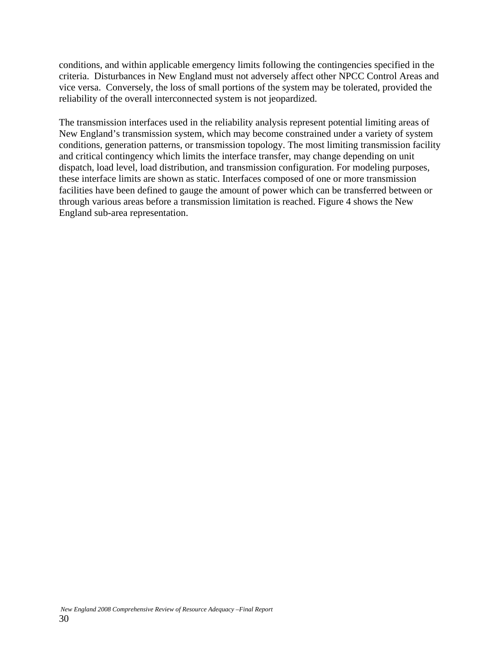conditions, and within applicable emergency limits following the contingencies specified in the criteria. Disturbances in New England must not adversely affect other NPCC Control Areas and vice versa. Conversely, the loss of small portions of the system may be tolerated, provided the reliability of the overall interconnected system is not jeopardized.

The transmission interfaces used in the reliability analysis represent potential limiting areas of New England's transmission system, which may become constrained under a variety of system conditions, generation patterns, or transmission topology. The most limiting transmission facility and critical contingency which limits the interface transfer, may change depending on unit dispatch, load level, load distribution, and transmission configuration. For modeling purposes, these interface limits are shown as static. Interfaces composed of one or more transmission facilities have been defined to gauge the amount of power which can be transferred between or through various areas before a transmission limitation is reached. Figure 4 shows the New England sub-area representation.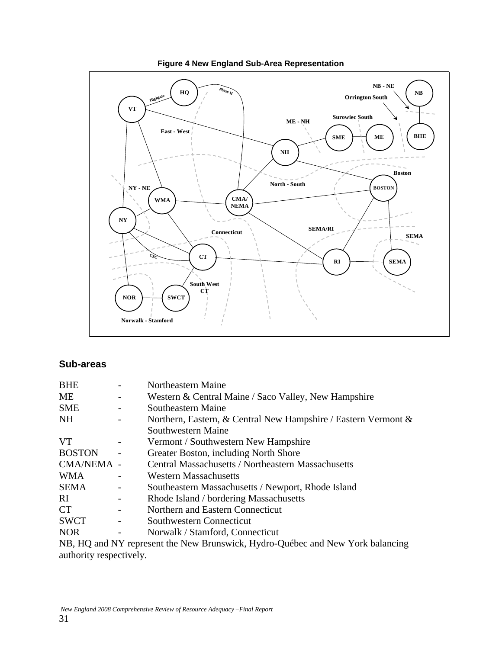

#### **Figure 4 New England Sub-Area Representation**

#### **Sub-areas**

| <b>BHE</b>    | Northeastern Maine                                                |
|---------------|-------------------------------------------------------------------|
| ME            | Western & Central Maine / Saco Valley, New Hampshire              |
| <b>SME</b>    | Southeastern Maine                                                |
| NH.           | Northern, Eastern, & Central New Hampshire / Eastern Vermont $\&$ |
|               | Southwestern Maine                                                |
| <b>VT</b>     | Vermont / Southwestern New Hampshire                              |
| <b>BOSTON</b> | Greater Boston, including North Shore                             |
| CMA/NEMA -    | <b>Central Massachusetts / Northeastern Massachusetts</b>         |
| <b>WMA</b>    | <b>Western Massachusetts</b>                                      |
| <b>SEMA</b>   | Southeastern Massachusetts / Newport, Rhode Island                |
| RI.           | Rhode Island / bordering Massachusetts                            |
| <b>CT</b>     | Northern and Eastern Connecticut                                  |
| <b>SWCT</b>   | Southwestern Connecticut                                          |
| <b>NOR</b>    | Norwalk / Stamford, Connecticut                                   |
| 1 TR TTA      |                                                                   |

NB, HQ and NY represent the New Brunswick, Hydro-Québec and New York balancing authority respectively.